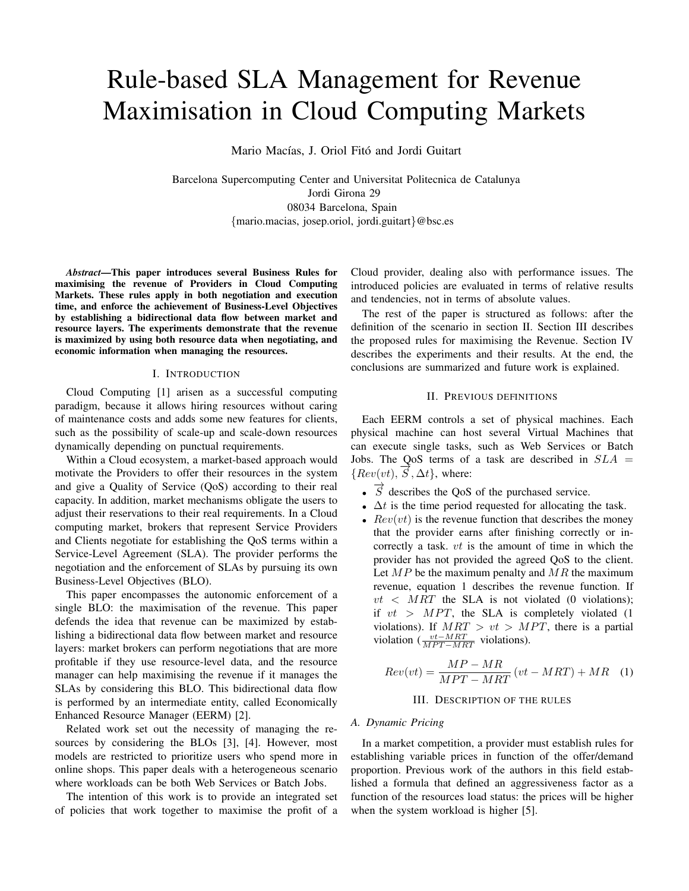# Rule-based SLA Management for Revenue Maximisation in Cloud Computing Markets

Mario Macías, J. Oriol Fitó and Jordi Guitart

Barcelona Supercomputing Center and Universitat Politecnica de Catalunya Jordi Girona 29 08034 Barcelona, Spain *{*mario.macias, josep.oriol, jordi.guitart*}*@bsc.es

*Abstract*—This paper introduces several Business Rules for maximising the revenue of Providers in Cloud Computing Markets. These rules apply in both negotiation and execution time, and enforce the achievement of Business-Level Objectives by establishing a bidirectional data flow between market and resource layers. The experiments demonstrate that the revenue is maximized by using both resource data when negotiating, and economic information when managing the resources.

#### I. INTRODUCTION

Cloud Computing [1] arisen as a successful computing paradigm, because it allows hiring resources without caring of maintenance costs and adds some new features for clients, such as the possibility of scale-up and scale-down resources dynamically depending on punctual requirements.

Within a Cloud ecosystem, a market-based approach would motivate the Providers to offer their resources in the system and give a Quality of Service (QoS) according to their real capacity. In addition, market mechanisms obligate the users to adjust their reservations to their real requirements. In a Cloud computing market, brokers that represent Service Providers and Clients negotiate for establishing the QoS terms within a Service-Level Agreement (SLA). The provider performs the negotiation and the enforcement of SLAs by pursuing its own Business-Level Objectives (BLO).

This paper encompasses the autonomic enforcement of a single BLO: the maximisation of the revenue. This paper defends the idea that revenue can be maximized by establishing a bidirectional data flow between market and resource layers: market brokers can perform negotiations that are more profitable if they use resource-level data, and the resource manager can help maximising the revenue if it manages the SLAs by considering this BLO. This bidirectional data flow is performed by an intermediate entity, called Economically Enhanced Resource Manager (EERM) [2].

Related work set out the necessity of managing the resources by considering the BLOs [3], [4]. However, most models are restricted to prioritize users who spend more in online shops. This paper deals with a heterogeneous scenario where workloads can be both Web Services or Batch Jobs.

The intention of this work is to provide an integrated set of policies that work together to maximise the profit of a

Cloud provider, dealing also with performance issues. The introduced policies are evaluated in terms of relative results and tendencies, not in terms of absolute values.

The rest of the paper is structured as follows: after the definition of the scenario in section II. Section III describes the proposed rules for maximising the Revenue. Section IV describes the experiments and their results. At the end, the conclusions are summarized and future work is explained.

## II. PREVIOUS DEFINITIONS

Each EERM controls a set of physical machines. Each physical machine can host several Virtual Machines that can execute single tasks, such as Web Services or Batch Jobs. The QoS terms of a task are described in *SLA* =  ${Rev(vt), \overrightarrow{S}, \Delta t}$ , where:

- $\overrightarrow{S}$  describes the QoS of the purchased service.
- *•* ∆*t* is the time period requested for allocating the task.
- $Rev(vt)$  is the revenue function that describes the money that the provider earns after finishing correctly or incorrectly a task. *vt* is the amount of time in which the provider has not provided the agreed QoS to the client. Let *MP* be the maximum penalty and *MR* the maximum revenue, equation 1 describes the revenue function. If  $vt < MRT$  the SLA is not violated (0 violations); if  $vt > MPT$ , the SLA is completely violated  $(1$ violations). If  $MRT > vt > MPT$ , there is a partial violation ( *vt−MRT MP T <sup>−</sup>MRT* violations).

$$
Rev(vt) = \frac{MP - MR}{MPT - MRT} (vt - MRT) + MR \quad (1)
$$

### III. DESCRIPTION OF THE RULES

#### *A. Dynamic Pricing*

In a market competition, a provider must establish rules for establishing variable prices in function of the offer/demand proportion. Previous work of the authors in this field established a formula that defined an aggressiveness factor as a function of the resources load status: the prices will be higher when the system workload is higher [5].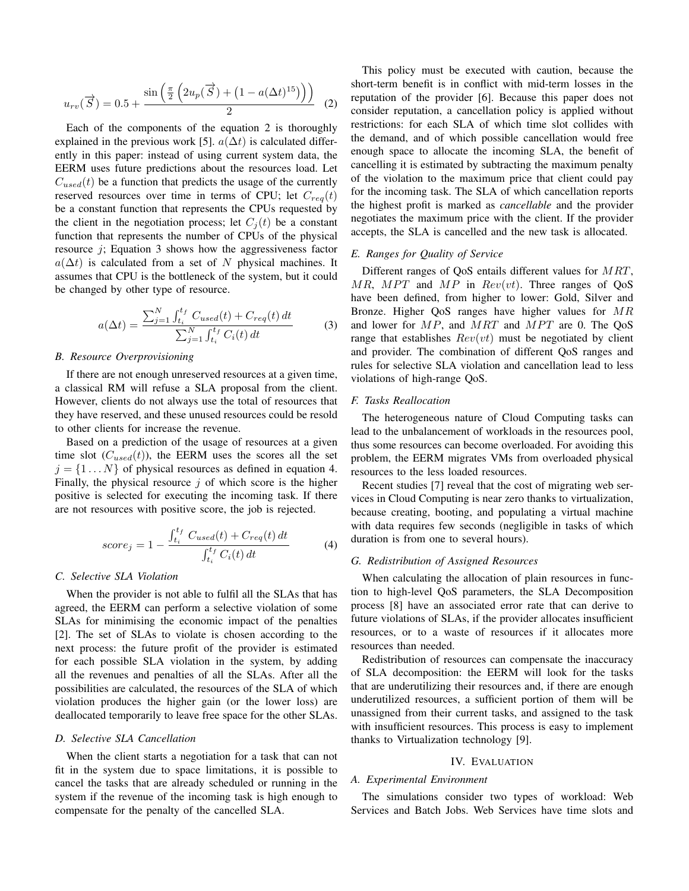$$
u_{rv}(\overrightarrow{S}) = 0.5 + \frac{\sin\left(\frac{\pi}{2}\left(2u_p(\overrightarrow{S}) + \left(1 - a(\Delta t)^{15}\right)\right)\right)}{2}
$$
 (2)

Each of the components of the equation 2 is thoroughly explained in the previous work [5].  $a(\Delta t)$  is calculated differently in this paper: instead of using current system data, the EERM uses future predictions about the resources load. Let  $C_{used}(t)$  be a function that predicts the usage of the currently reserved resources over time in terms of CPU; let  $C_{req}(t)$ be a constant function that represents the CPUs requested by the client in the negotiation process; let  $C_i(t)$  be a constant function that represents the number of CPUs of the physical resource *j*; Equation 3 shows how the aggressiveness factor  $a(\Delta t)$  is calculated from a set of *N* physical machines. It assumes that CPU is the bottleneck of the system, but it could be changed by other type of resource.

$$
a(\Delta t) = \frac{\sum_{j=1}^{N} \int_{t_i}^{t_f} C_{used}(t) + C_{req}(t) dt}{\sum_{j=1}^{N} \int_{t_i}^{t_f} C_i(t) dt}
$$
(3)

#### *B. Resource Overprovisioning*

If there are not enough unreserved resources at a given time, a classical RM will refuse a SLA proposal from the client. However, clients do not always use the total of resources that they have reserved, and these unused resources could be resold to other clients for increase the revenue.

Based on a prediction of the usage of resources at a given time slot  $(C_{used}(t))$ , the EERM uses the scores all the set  $j = \{1...N\}$  of physical resources as defined in equation 4. Finally, the physical resource *j* of which score is the higher positive is selected for executing the incoming task. If there are not resources with positive score, the job is rejected.

$$
score_j = 1 - \frac{\int_{t_i}^{t_f} C_{used}(t) + C_{req}(t) dt}{\int_{t_i}^{t_f} C_i(t) dt}
$$
 (4)

## *C. Selective SLA Violation*

When the provider is not able to fulfil all the SLAs that has agreed, the EERM can perform a selective violation of some SLAs for minimising the economic impact of the penalties [2]. The set of SLAs to violate is chosen according to the next process: the future profit of the provider is estimated for each possible SLA violation in the system, by adding all the revenues and penalties of all the SLAs. After all the possibilities are calculated, the resources of the SLA of which violation produces the higher gain (or the lower loss) are deallocated temporarily to leave free space for the other SLAs.

#### *D. Selective SLA Cancellation*

When the client starts a negotiation for a task that can not fit in the system due to space limitations, it is possible to cancel the tasks that are already scheduled or running in the system if the revenue of the incoming task is high enough to compensate for the penalty of the cancelled SLA.

This policy must be executed with caution, because the short-term benefit is in conflict with mid-term losses in the reputation of the provider [6]. Because this paper does not consider reputation, a cancellation policy is applied without restrictions: for each SLA of which time slot collides with the demand, and of which possible cancellation would free enough space to allocate the incoming SLA, the benefit of cancelling it is estimated by subtracting the maximum penalty of the violation to the maximum price that client could pay for the incoming task. The SLA of which cancellation reports the highest profit is marked as *cancellable* and the provider negotiates the maximum price with the client. If the provider accepts, the SLA is cancelled and the new task is allocated.

#### *E. Ranges for Quality of Service*

Different ranges of QoS entails different values for *MRT*,  $MR$ ,  $MPT$  and  $MP$  in  $Rev(vt)$ . Three ranges of QoS have been defined, from higher to lower: Gold, Silver and Bronze. Higher QoS ranges have higher values for *MR* and lower for  $MP$ , and  $MRT$  and  $MPT$  are 0. The QoS range that establishes *Rev*(*vt*) must be negotiated by client and provider. The combination of different QoS ranges and rules for selective SLA violation and cancellation lead to less violations of high-range QoS.

## *F. Tasks Reallocation*

The heterogeneous nature of Cloud Computing tasks can lead to the unbalancement of workloads in the resources pool, thus some resources can become overloaded. For avoiding this problem, the EERM migrates VMs from overloaded physical resources to the less loaded resources.

Recent studies [7] reveal that the cost of migrating web services in Cloud Computing is near zero thanks to virtualization, because creating, booting, and populating a virtual machine with data requires few seconds (negligible in tasks of which duration is from one to several hours).

## *G. Redistribution of Assigned Resources*

When calculating the allocation of plain resources in function to high-level QoS parameters, the SLA Decomposition process [8] have an associated error rate that can derive to future violations of SLAs, if the provider allocates insufficient resources, or to a waste of resources if it allocates more resources than needed.

Redistribution of resources can compensate the inaccuracy of SLA decomposition: the EERM will look for the tasks that are underutilizing their resources and, if there are enough underutilized resources, a sufficient portion of them will be unassigned from their current tasks, and assigned to the task with insufficient resources. This process is easy to implement thanks to Virtualization technology [9].

## IV. EVALUATION

## *A. Experimental Environment*

The simulations consider two types of workload: Web Services and Batch Jobs. Web Services have time slots and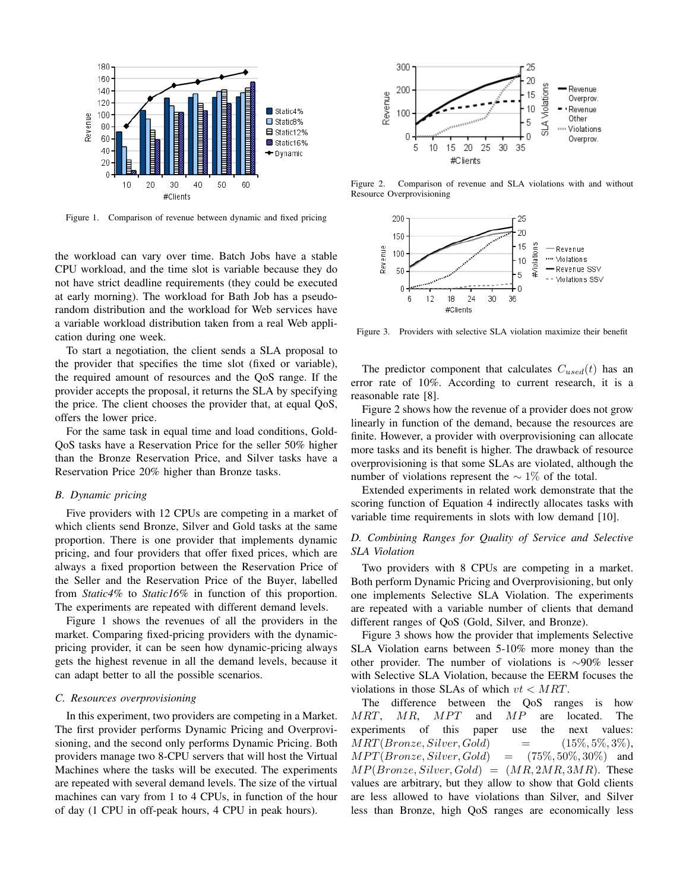

Figure 1. Comparison of revenue between dynamic and fixed pricing

the workload can vary over time. Batch Jobs have a stable CPU workload, and the time slot is variable because they do not have strict deadline requirements (they could be executed at early morning). The workload for Bath Job has a pseudorandom distribution and the workload for Web services have a variable workload distribution taken from a real Web application during one week.

To start a negotiation, the client sends a SLA proposal to the provider that specifies the time slot (fixed or variable), the required amount of resources and the QoS range. If the provider accepts the proposal, it returns the SLA by specifying the price. The client chooses the provider that, at equal QoS, offers the lower price.

For the same task in equal time and load conditions, Gold-QoS tasks have a Reservation Price for the seller 50% higher than the Bronze Reservation Price, and Silver tasks have a Reservation Price 20% higher than Bronze tasks.

## *B. Dynamic pricing*

Five providers with 12 CPUs are competing in a market of which clients send Bronze, Silver and Gold tasks at the same proportion. There is one provider that implements dynamic pricing, and four providers that offer fixed prices, which are always a fixed proportion between the Reservation Price of the Seller and the Reservation Price of the Buyer, labelled from *Static4%* to *Static16%* in function of this proportion. The experiments are repeated with different demand levels.

Figure 1 shows the revenues of all the providers in the market. Comparing fixed-pricing providers with the dynamicpricing provider, it can be seen how dynamic-pricing always gets the highest revenue in all the demand levels, because it can adapt better to all the possible scenarios.

#### *C. Resources overprovisioning*

In this experiment, two providers are competing in a Market. The first provider performs Dynamic Pricing and Overprovisioning, and the second only performs Dynamic Pricing. Both providers manage two 8-CPU servers that will host the Virtual Machines where the tasks will be executed. The experiments are repeated with several demand levels. The size of the virtual machines can vary from 1 to 4 CPUs, in function of the hour of day (1 CPU in off-peak hours, 4 CPU in peak hours).



Figure 2. Comparison of revenue and SLA violations with and without Resource Overprovisioning



Figure 3. Providers with selective SLA violation maximize their benefit

The predictor component that calculates  $C_{used}(t)$  has an error rate of 10%. According to current research, it is a reasonable rate [8].

Figure 2 shows how the revenue of a provider does not grow linearly in function of the demand, because the resources are finite. However, a provider with overprovisioning can allocate more tasks and its benefit is higher. The drawback of resource overprovisioning is that some SLAs are violated, although the number of violations represent the *∼* 1% of the total.

Extended experiments in related work demonstrate that the scoring function of Equation 4 indirectly allocates tasks with variable time requirements in slots with low demand [10].

## *D. Combining Ranges for Quality of Service and Selective SLA Violation*

Two providers with 8 CPUs are competing in a market. Both perform Dynamic Pricing and Overprovisioning, but only one implements Selective SLA Violation. The experiments are repeated with a variable number of clients that demand different ranges of QoS (Gold, Silver, and Bronze).

Figure 3 shows how the provider that implements Selective SLA Violation earns between 5-10% more money than the other provider. The number of violations is *∼*90% lesser with Selective SLA Violation, because the EERM focuses the violations in those SLAs of which *vt < MRT*.

The difference between the QoS ranges is how *MRT*, *MR*, *MP T* and *MP* are located. The experiments of this paper use the next values:  $MRT(Bronze, Silver, Gold) = (15\%, 5\%, 3\%),$  $MPT(Bronze, Silver, Gold) = (75\%, 50\%, 30\%)$  and  $MP(Brone, Silver, Gold) = (MR, 2MR, 3MR)$ . These values are arbitrary, but they allow to show that Gold clients are less allowed to have violations than Silver, and Silver less than Bronze, high QoS ranges are economically less